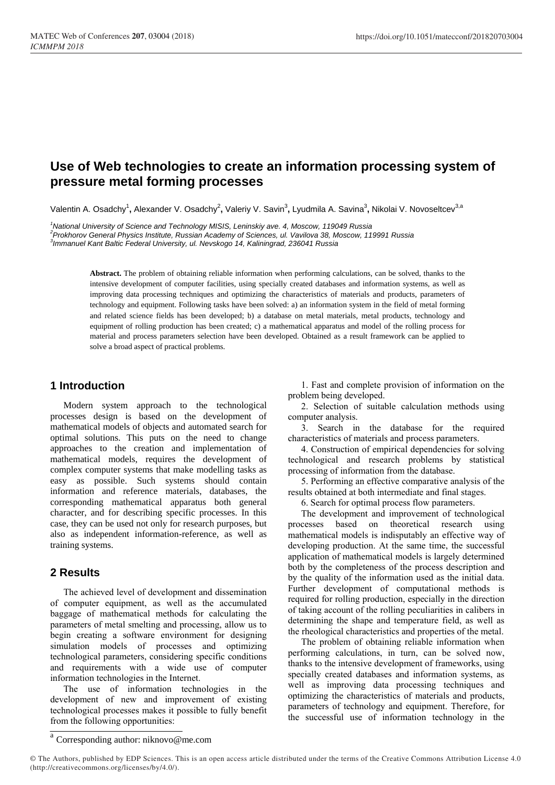# **Use of Web technologies to create an information processing system of pressure metal forming processes**

Valentin A. Osadchy<sup>1</sup>, Alexander V. Osadchy<sup>2</sup>, Valeriy V. Savin<sup>3</sup>, Lyudmila A. Savina<sup>3</sup>, Nikolai V. Novoseltcev<sup>3,a</sup>

*<sup>1</sup>National University of Science and Technology MISIS, Leninskiy ave. 4, Moscow, 119049 Russia 2 Prokhorov General Physics Institute, Russian Academy of Sciences, ul. Vavilova 38, Moscow, 119991 Russia 3 Immanuel Kant Baltic Federal University, ul. Nevskogo 14, Kaliningrad, 236041 Russia*

> **Abstract.** The problem of obtaining reliable information when performing calculations, can be solved, thanks to the intensive development of computer facilities, using specially created databases and information systems, as well as improving data processing techniques and optimizing the characteristics of materials and products, parameters of technology and equipment. Following tasks have been solved: a) an information system in the field of metal forming and related science fields has been developed; b) a database on metal materials, metal products, technology and equipment of rolling production has been created; c) a mathematical apparatus and model of the rolling process for material and process parameters selection have been developed. Obtained as a result framework can be applied to solve a broad aspect of practical problems.

## **1 Introduction**

Modern system approach to the technological processes design is based on the development of mathematical models of objects and automated search for optimal solutions. This puts on the need to change approaches to the creation and implementation of mathematical models, requires the development of complex computer systems that make modelling tasks as easy as possible. Such systems should contain information and reference materials, databases, the corresponding mathematical apparatus both general character, and for describing specific processes. In this case, they can be used not only for research purposes, but also as independent information-reference, as well as training systems.

## **2 Results**

The achieved level of development and dissemination of computer equipment, as well as the accumulated baggage of mathematical methods for calculating the parameters of metal smelting and processing, allow us to begin creating a software environment for designing simulation models of processes and optimizing technological parameters, considering specific conditions and requirements with a wide use of computer information technologies in the Internet.

The use of information technologies in the development of new and improvement of existing technological processes makes it possible to fully benefit from the following opportunities:

1. Fast and complete provision of information on the problem being developed.

2. Selection of suitable calculation methods using computer analysis.

3. Search in the database for the required characteristics of materials and process parameters.

4. Construction of empirical dependencies for solving technological and research problems by statistical processing of information from the database.

5. Performing an effective comparative analysis of the results obtained at both intermediate and final stages.

6. Search for optimal process flow parameters.

The development and improvement of technological processes based on theoretical research using mathematical models is indisputably an effective way of developing production. At the same time, the successful application of mathematical models is largely determined both by the completeness of the process description and by the quality of the information used as the initial data. Further development of computational methods is required for rolling production, especially in the direction of taking account of the rolling peculiarities in calibers in determining the shape and temperature field, as well as the rheological characteristics and properties of the metal.

The problem of obtaining reliable information when performing calculations, in turn, can be solved now, thanks to the intensive development of frameworks, using specially created databases and information systems, as well as improving data processing techniques and optimizing the characteristics of materials and products, parameters of technology and equipment. Therefore, for the successful use of information technology in the

a Corresponding author: niknovo@me.com

<sup>©</sup> The Authors, published by EDP Sciences. This is an open access article distributed under the terms of the Creative Commons Attribution License 4.0 (http://creativecommons.org/licenses/by/4.0/).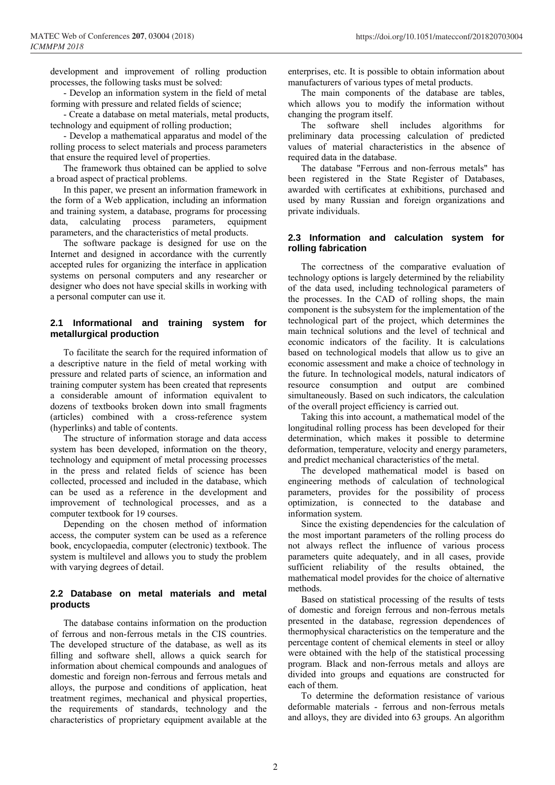development and improvement of rolling production processes, the following tasks must be solved:

- Develop an information system in the field of metal forming with pressure and related fields of science;

- Create a database on metal materials, metal products, technology and equipment of rolling production;

- Develop a mathematical apparatus and model of the rolling process to select materials and process parameters that ensure the required level of properties.

The framework thus obtained can be applied to solve a broad aspect of practical problems.

In this paper, we present an information framework in the form of a Web application, including an information and training system, a database, programs for processing data, calculating process parameters, equipment parameters, and the characteristics of metal products.

The software package is designed for use on the Internet and designed in accordance with the currently accepted rules for organizing the interface in application systems on personal computers and any researcher or designer who does not have special skills in working with a personal computer can use it.

## **2.1 Informational and training system for metallurgical production**

To facilitate the search for the required information of a descriptive nature in the field of metal working with pressure and related parts of science, an information and training computer system has been created that represents a considerable amount of information equivalent to dozens of textbooks broken down into small fragments (articles) combined with a cross-reference system (hyperlinks) and table of contents.

The structure of information storage and data access system has been developed, information on the theory, technology and equipment of metal processing processes in the press and related fields of science has been collected, processed and included in the database, which can be used as a reference in the development and improvement of technological processes, and as a computer textbook for 19 courses.

Depending on the chosen method of information access, the computer system can be used as a reference book, encyclopaedia, computer (electronic) textbook. The system is multilevel and allows you to study the problem with varying degrees of detail.

#### **2.2 Database on metal materials and metal products**

The database contains information on the production of ferrous and non-ferrous metals in the CIS countries. The developed structure of the database, as well as its filling and software shell, allows a quick search for information about chemical compounds and analogues of domestic and foreign non-ferrous and ferrous metals and alloys, the purpose and conditions of application, heat treatment regimes, mechanical and physical properties, the requirements of standards, technology and the characteristics of proprietary equipment available at the enterprises, etc. It is possible to obtain information about manufacturers of various types of metal products.

The main components of the database are tables, which allows you to modify the information without changing the program itself.

The software shell includes algorithms for preliminary data processing calculation of predicted values of material characteristics in the absence of required data in the database.

The database "Ferrous and non-ferrous metals" has been registered in the State Register of Databases, awarded with certificates at exhibitions, purchased and used by many Russian and foreign organizations and private individuals.

#### **2.3 Information and calculation system for rolling fabrication**

The correctness of the comparative evaluation of technology options is largely determined by the reliability of the data used, including technological parameters of the processes. In the CAD of rolling shops, the main component is the subsystem for the implementation of the technological part of the project, which determines the main technical solutions and the level of technical and economic indicators of the facility. It is calculations based on technological models that allow us to give an economic assessment and make a choice of technology in the future. In technological models, natural indicators of resource consumption and output are combined simultaneously. Based on such indicators, the calculation of the overall project efficiency is carried out.

Taking this into account, a mathematical model of the longitudinal rolling process has been developed for their determination, which makes it possible to determine deformation, temperature, velocity and energy parameters, and predict mechanical characteristics of the metal.

The developed mathematical model is based on engineering methods of calculation of technological parameters, provides for the possibility of process optimization, is connected to the database and information system.

Since the existing dependencies for the calculation of the most important parameters of the rolling process do not always reflect the influence of various process parameters quite adequately, and in all cases, provide sufficient reliability of the results obtained, the mathematical model provides for the choice of alternative methods.

Based on statistical processing of the results of tests of domestic and foreign ferrous and non-ferrous metals presented in the database, regression dependences of thermophysical characteristics on the temperature and the percentage content of chemical elements in steel or alloy were obtained with the help of the statistical processing program. Black and non-ferrous metals and alloys are divided into groups and equations are constructed for each of them.

To determine the deformation resistance of various deformable materials - ferrous and non-ferrous metals and alloys, they are divided into 63 groups. An algorithm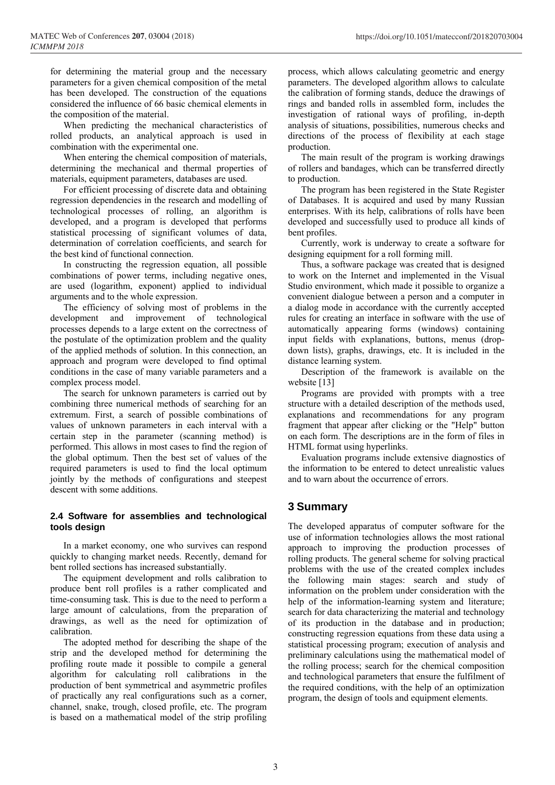for determining the material group and the necessary parameters for a given chemical composition of the metal has been developed. The construction of the equations considered the influence of 66 basic chemical elements in the composition of the material.

When predicting the mechanical characteristics of rolled products, an analytical approach is used in combination with the experimental one.

When entering the chemical composition of materials, determining the mechanical and thermal properties of materials, equipment parameters, databases are used.

For efficient processing of discrete data and obtaining regression dependencies in the research and modelling of technological processes of rolling, an algorithm is developed, and a program is developed that performs statistical processing of significant volumes of data, determination of correlation coefficients, and search for the best kind of functional connection.

In constructing the regression equation, all possible combinations of power terms, including negative ones, are used (logarithm, exponent) applied to individual arguments and to the whole expression.

The efficiency of solving most of problems in the development and improvement of technological processes depends to a large extent on the correctness of the postulate of the optimization problem and the quality of the applied methods of solution. In this connection, an approach and program were developed to find optimal conditions in the case of many variable parameters and a complex process model.

The search for unknown parameters is carried out by combining three numerical methods of searching for an extremum. First, a search of possible combinations of values of unknown parameters in each interval with a certain step in the parameter (scanning method) is performed. This allows in most cases to find the region of the global optimum. Then the best set of values of the required parameters is used to find the local optimum jointly by the methods of configurations and steepest descent with some additions.

## **2.4 Software for assemblies and technological tools design**

In a market economy, one who survives can respond quickly to changing market needs. Recently, demand for bent rolled sections has increased substantially.

The equipment development and rolls calibration to produce bent roll profiles is a rather complicated and time-consuming task. This is due to the need to perform a large amount of calculations, from the preparation of drawings, as well as the need for optimization of calibration.

The adopted method for describing the shape of the strip and the developed method for determining the profiling route made it possible to compile a general algorithm for calculating roll calibrations in the production of bent symmetrical and asymmetric profiles of practically any real configurations such as a corner, channel, snake, trough, closed profile, etc. The program is based on a mathematical model of the strip profiling

process, which allows calculating geometric and energy parameters. The developed algorithm allows to calculate the calibration of forming stands, deduce the drawings of rings and banded rolls in assembled form, includes the investigation of rational ways of profiling, in-depth analysis of situations, possibilities, numerous checks and directions of the process of flexibility at each stage production.

The main result of the program is working drawings of rollers and bandages, which can be transferred directly to production.

The program has been registered in the State Register of Databases. It is acquired and used by many Russian enterprises. With its help, calibrations of rolls have been developed and successfully used to produce all kinds of bent profiles.

Currently, work is underway to create a software for designing equipment for a roll forming mill.

Thus, a software package was created that is designed to work on the Internet and implemented in the Visual Studio environment, which made it possible to organize a convenient dialogue between a person and a computer in a dialog mode in accordance with the currently accepted rules for creating an interface in software with the use of automatically appearing forms (windows) containing input fields with explanations, buttons, menus (dropdown lists), graphs, drawings, etc. It is included in the distance learning system.

Description of the framework is available on the website [13]

Programs are provided with prompts with a tree structure with a detailed description of the methods used, explanations and recommendations for any program fragment that appear after clicking or the "Help" button on each form. The descriptions are in the form of files in HTML format using hyperlinks.

Evaluation programs include extensive diagnostics of the information to be entered to detect unrealistic values and to warn about the occurrence of errors.

# **3 Summary**

The developed apparatus of computer software for the use of information technologies allows the most rational approach to improving the production processes of rolling products. The general scheme for solving practical problems with the use of the created complex includes the following main stages: search and study of information on the problem under consideration with the help of the information-learning system and literature; search for data characterizing the material and technology of its production in the database and in production; constructing regression equations from these data using a statistical processing program; execution of analysis and preliminary calculations using the mathematical model of the rolling process; search for the chemical composition and technological parameters that ensure the fulfilment of the required conditions, with the help of an optimization program, the design of tools and equipment elements.